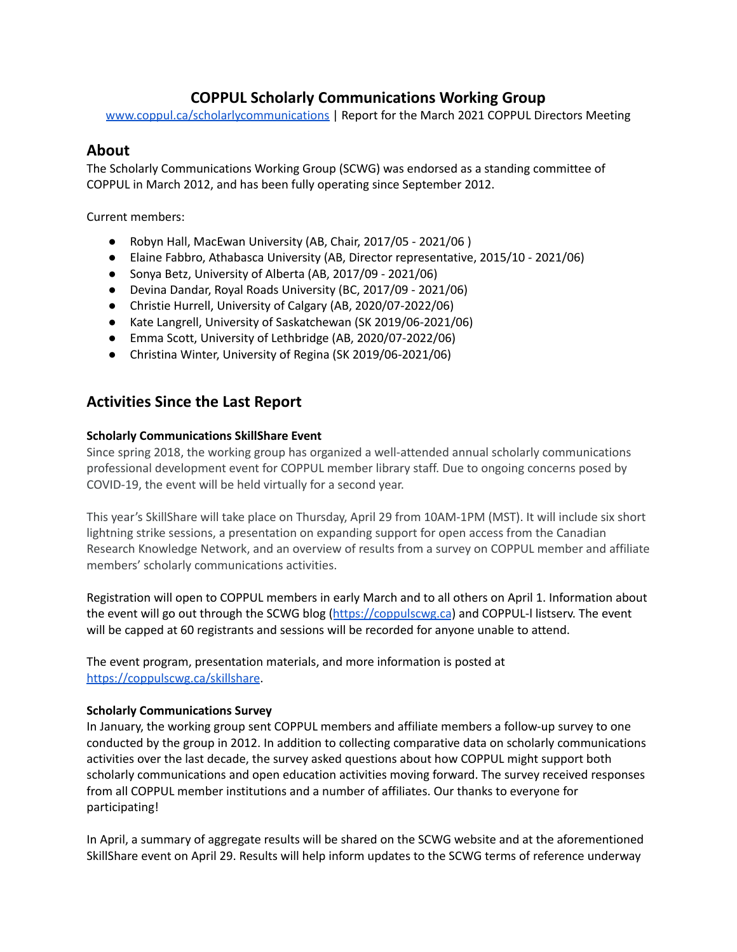## **COPPUL Scholarly Communications Working Group**

[www.coppul.ca/scholarlycommunications](http://www.coppul.ca/scholarlycommunications) | Report for the March 2021 COPPUL Directors Meeting

## **About**

The Scholarly Communications Working Group (SCWG) was endorsed as a standing committee of COPPUL in March 2012, and has been fully operating since September 2012.

Current members:

- Robyn Hall, MacEwan University (AB, Chair, 2017/05 2021/06 )
- Elaine Fabbro, Athabasca University (AB, Director representative, 2015/10 2021/06)
- Sonya Betz, University of Alberta (AB, 2017/09 2021/06)
- Devina Dandar, Royal Roads University (BC, 2017/09 2021/06)
- Christie Hurrell, University of Calgary (AB, 2020/07-2022/06)
- Kate Langrell, University of Saskatchewan (SK 2019/06-2021/06)
- Emma Scott, University of Lethbridge (AB, 2020/07-2022/06)
- Christina Winter, University of Regina (SK 2019/06-2021/06)

# **Activities Since the Last Report**

## **Scholarly Communications SkillShare Event**

Since spring 2018, the working group has organized a well-attended annual scholarly communications professional development event for COPPUL member library staff. Due to ongoing concerns posed by COVID-19, the event will be held virtually for a second year.

This year's SkillShare will take place on Thursday, April 29 from 10AM-1PM (MST). It will include six short lightning strike sessions, a presentation on expanding support for open access from the Canadian Research Knowledge Network, and an overview of results from a survey on COPPUL member and affiliate members' scholarly communications activities.

Registration will open to COPPUL members in early March and to all others on April 1. Information about the event will go out through the SCWG blog ([https://coppulscwg.ca](https://coppulscwg.ca/skillshare/)) and COPPUL-l listserv. The event will be capped at 60 registrants and sessions will be recorded for anyone unable to attend.

The event program, presentation materials, and more information is posted at [https://coppulscwg.ca/skillshare](https://coppulscwg.ca/skillshare/).

### **Scholarly Communications Survey**

In January, the working group sent COPPUL members and affiliate members a follow-up survey to one conducted by the group in 2012. In addition to collecting comparative data on scholarly communications activities over the last decade, the survey asked questions about how COPPUL might support both scholarly communications and open education activities moving forward. The survey received responses from all COPPUL member institutions and a number of affiliates. Our thanks to everyone for participating!

In April, a summary of aggregate results will be shared on the SCWG website and at the aforementioned SkillShare event on April 29. Results will help inform updates to the SCWG terms of reference underway